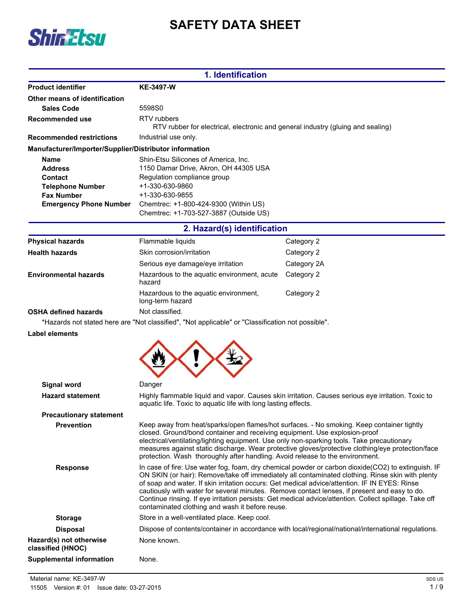



|                                                                                                                    | 1. Identification                                                                                                                                                                                                                                                                                                                                                                                                                                                                                                                                                    |                                                                                                     |  |
|--------------------------------------------------------------------------------------------------------------------|----------------------------------------------------------------------------------------------------------------------------------------------------------------------------------------------------------------------------------------------------------------------------------------------------------------------------------------------------------------------------------------------------------------------------------------------------------------------------------------------------------------------------------------------------------------------|-----------------------------------------------------------------------------------------------------|--|
| <b>Product identifier</b>                                                                                          | <b>KE-3497-W</b>                                                                                                                                                                                                                                                                                                                                                                                                                                                                                                                                                     |                                                                                                     |  |
| Other means of identification                                                                                      |                                                                                                                                                                                                                                                                                                                                                                                                                                                                                                                                                                      |                                                                                                     |  |
| <b>Sales Code</b>                                                                                                  | 5598S0                                                                                                                                                                                                                                                                                                                                                                                                                                                                                                                                                               |                                                                                                     |  |
| Recommended use                                                                                                    | RTV rubbers<br>RTV rubber for electrical, electronic and general industry (gluing and sealing)                                                                                                                                                                                                                                                                                                                                                                                                                                                                       |                                                                                                     |  |
| <b>Recommended restrictions</b>                                                                                    | Industrial use only.                                                                                                                                                                                                                                                                                                                                                                                                                                                                                                                                                 |                                                                                                     |  |
| Manufacturer/Importer/Supplier/Distributor information                                                             |                                                                                                                                                                                                                                                                                                                                                                                                                                                                                                                                                                      |                                                                                                     |  |
| Name<br><b>Address</b><br>Contact<br><b>Telephone Number</b><br><b>Fax Number</b><br><b>Emergency Phone Number</b> | Shin-Etsu Silicones of America, Inc.<br>1150 Damar Drive, Akron, OH 44305 USA<br>Regulation compliance group<br>+1-330-630-9860<br>+1-330-630-9855<br>Chemtrec: +1-800-424-9300 (Within US)<br>Chemtrec: +1-703-527-3887 (Outside US)                                                                                                                                                                                                                                                                                                                                |                                                                                                     |  |
|                                                                                                                    | 2. Hazard(s) identification                                                                                                                                                                                                                                                                                                                                                                                                                                                                                                                                          |                                                                                                     |  |
| <b>Physical hazards</b>                                                                                            | Flammable liquids                                                                                                                                                                                                                                                                                                                                                                                                                                                                                                                                                    | Category 2                                                                                          |  |
| <b>Health hazards</b>                                                                                              | Skin corrosion/irritation                                                                                                                                                                                                                                                                                                                                                                                                                                                                                                                                            | Category 2                                                                                          |  |
|                                                                                                                    | Serious eye damage/eye irritation                                                                                                                                                                                                                                                                                                                                                                                                                                                                                                                                    | Category 2A                                                                                         |  |
| <b>Environmental hazards</b>                                                                                       | Hazardous to the aquatic environment, acute<br>Category 2<br>hazard<br>Hazardous to the aquatic environment,<br>Category 2<br>long-term hazard                                                                                                                                                                                                                                                                                                                                                                                                                       |                                                                                                     |  |
|                                                                                                                    |                                                                                                                                                                                                                                                                                                                                                                                                                                                                                                                                                                      |                                                                                                     |  |
| <b>OSHA defined hazards</b>                                                                                        | Not classified.                                                                                                                                                                                                                                                                                                                                                                                                                                                                                                                                                      |                                                                                                     |  |
| *Hazards not stated here are "Not classified", "Not applicable" or "Classification not possible".                  |                                                                                                                                                                                                                                                                                                                                                                                                                                                                                                                                                                      |                                                                                                     |  |
| Label elements<br><b>Signal word</b>                                                                               | Danger                                                                                                                                                                                                                                                                                                                                                                                                                                                                                                                                                               |                                                                                                     |  |
| <b>Hazard statement</b>                                                                                            | Highly flammable liquid and vapor. Causes skin irritation. Causes serious eye irritation. Toxic to<br>aquatic life. Toxic to aquatic life with long lasting effects.                                                                                                                                                                                                                                                                                                                                                                                                 |                                                                                                     |  |
| <b>Precautionary statement</b>                                                                                     |                                                                                                                                                                                                                                                                                                                                                                                                                                                                                                                                                                      |                                                                                                     |  |
| <b>Prevention</b>                                                                                                  | Keep away from heat/sparks/open flames/hot surfaces. - No smoking. Keep container tightly<br>closed. Ground/bond container and receiving equipment. Use explosion-proof<br>electrical/ventilating/lighting equipment. Use only non-sparking tools. Take precautionary<br>measures against static discharge. Wear protective gloves/protective clothing/eye protection/face<br>protection. Wash thoroughly after handling. Avoid release to the environment.                                                                                                          |                                                                                                     |  |
| <b>Response</b>                                                                                                    | In case of fire: Use water fog, foam, dry chemical powder or carbon dioxide(CO2) to extinguish. IF<br>ON SKIN (or hair): Remove/take off immediately all contaminated clothing. Rinse skin with plenty<br>of soap and water. If skin irritation occurs: Get medical advice/attention. IF IN EYES: Rinse<br>cautiously with water for several minutes. Remove contact lenses, if present and easy to do.<br>Continue rinsing. If eye irritation persists: Get medical advice/attention. Collect spillage. Take off<br>contaminated clothing and wash it before reuse. |                                                                                                     |  |
| <b>Storage</b>                                                                                                     | Store in a well-ventilated place. Keep cool.                                                                                                                                                                                                                                                                                                                                                                                                                                                                                                                         |                                                                                                     |  |
| <b>Disposal</b>                                                                                                    |                                                                                                                                                                                                                                                                                                                                                                                                                                                                                                                                                                      | Dispose of contents/container in accordance with local/regional/national/international regulations. |  |
| Hazard(s) not otherwise<br>classified (HNOC)                                                                       | None known.                                                                                                                                                                                                                                                                                                                                                                                                                                                                                                                                                          |                                                                                                     |  |
| <b>Supplemental information</b>                                                                                    | None.                                                                                                                                                                                                                                                                                                                                                                                                                                                                                                                                                                |                                                                                                     |  |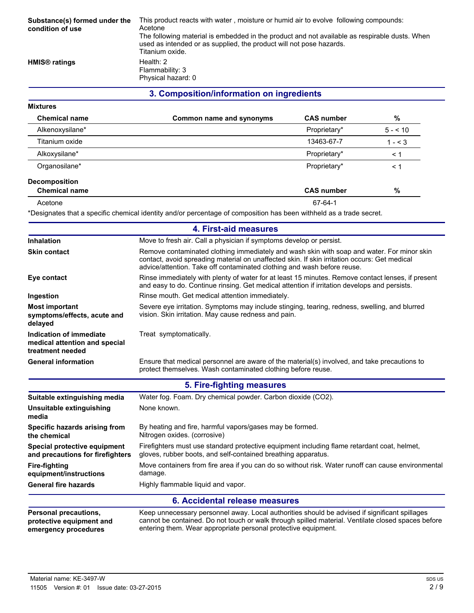| Substance(s) formed under the<br>condition of use | This product reacts with water, moisture or humid air to evolve following compounds:<br>Acetone<br>The following material is embedded in the product and not available as respirable dusts. When<br>used as intended or as supplied, the product will not pose hazards.<br>Titanium oxide. |
|---------------------------------------------------|--------------------------------------------------------------------------------------------------------------------------------------------------------------------------------------------------------------------------------------------------------------------------------------------|
| HMIS <sup>®</sup> ratings                         | Health: $2$<br>Flammability: 3<br>Physical hazard: 0                                                                                                                                                                                                                                       |

### **3. Composition/information on ingredients**

#### **Mixtures**

| <b>Chemical name</b> | Common name and synonyms | <b>CAS number</b> | %        |
|----------------------|--------------------------|-------------------|----------|
| Alkenoxysilane*      |                          | Proprietary*      | $5 - 10$ |
| Titanium oxide       |                          | 13463-67-7        | $1 - 3$  |
| Alkoxysilane*        |                          | Proprietary*      | ← 1      |
| Organosilane*        |                          | Proprietary*      | ← 1      |
| <b>Decomposition</b> |                          |                   |          |
| <b>Chemical name</b> |                          | <b>CAS number</b> | %        |
| Acetone              |                          | 67-64-1           |          |

\*Designates that a specific chemical identity and/or percentage of composition has been withheld as a trade secret.

| 4. First-aid measures                                                                                                                                                                                                                                           |                                                                                                                                                                                                                                                                       |  |
|-----------------------------------------------------------------------------------------------------------------------------------------------------------------------------------------------------------------------------------------------------------------|-----------------------------------------------------------------------------------------------------------------------------------------------------------------------------------------------------------------------------------------------------------------------|--|
| <b>Inhalation</b>                                                                                                                                                                                                                                               | Move to fresh air. Call a physician if symptoms develop or persist.                                                                                                                                                                                                   |  |
| <b>Skin contact</b>                                                                                                                                                                                                                                             | Remove contaminated clothing immediately and wash skin with soap and water. For minor skin<br>contact, avoid spreading material on unaffected skin. If skin irritation occurs: Get medical<br>advice/attention. Take off contaminated clothing and wash before reuse. |  |
| Eye contact                                                                                                                                                                                                                                                     | Rinse immediately with plenty of water for at least 15 minutes. Remove contact lenses, if present<br>and easy to do. Continue rinsing. Get medical attention if irritation develops and persists.                                                                     |  |
| Ingestion                                                                                                                                                                                                                                                       | Rinse mouth. Get medical attention immediately.                                                                                                                                                                                                                       |  |
| <b>Most important</b><br>symptoms/effects, acute and<br>delayed                                                                                                                                                                                                 | Severe eye irritation. Symptoms may include stinging, tearing, redness, swelling, and blurred<br>vision. Skin irritation. May cause redness and pain.                                                                                                                 |  |
| Indication of immediate<br>medical attention and special<br>treatment needed                                                                                                                                                                                    | Treat symptomatically.                                                                                                                                                                                                                                                |  |
| <b>General information</b>                                                                                                                                                                                                                                      | Ensure that medical personnel are aware of the material(s) involved, and take precautions to<br>protect themselves. Wash contaminated clothing before reuse.                                                                                                          |  |
|                                                                                                                                                                                                                                                                 | 5. Fire-fighting measures                                                                                                                                                                                                                                             |  |
| Suitable extinguishing media                                                                                                                                                                                                                                    | Water fog. Foam. Dry chemical powder. Carbon dioxide (CO2).                                                                                                                                                                                                           |  |
| Unsuitable extinguishing<br>media                                                                                                                                                                                                                               | None known.                                                                                                                                                                                                                                                           |  |
| Specific hazards arising from<br>the chemical                                                                                                                                                                                                                   | By heating and fire, harmful vapors/gases may be formed.<br>Nitrogen oxides. (corrosive)                                                                                                                                                                              |  |
| Special protective equipment<br>and precautions for firefighters                                                                                                                                                                                                | Firefighters must use standard protective equipment including flame retardant coat, helmet,<br>gloves, rubber boots, and self-contained breathing apparatus.                                                                                                          |  |
| <b>Fire-fighting</b><br>equipment/instructions                                                                                                                                                                                                                  | Move containers from fire area if you can do so without risk. Water runoff can cause environmental<br>damage.                                                                                                                                                         |  |
| <b>General fire hazards</b>                                                                                                                                                                                                                                     | Highly flammable liquid and vapor.                                                                                                                                                                                                                                    |  |
|                                                                                                                                                                                                                                                                 | 6. Accidental release measures                                                                                                                                                                                                                                        |  |
| Keep unnecessary personnel away. Local authorities should be advised if significant spillages<br><b>Personal precautions,</b><br>cannot be contained. Do not touch or walk through spilled material. Ventilate closed spaces before<br>protective equipment and |                                                                                                                                                                                                                                                                       |  |

entering them. Wear appropriate personal protective equipment.

**emergency procedures**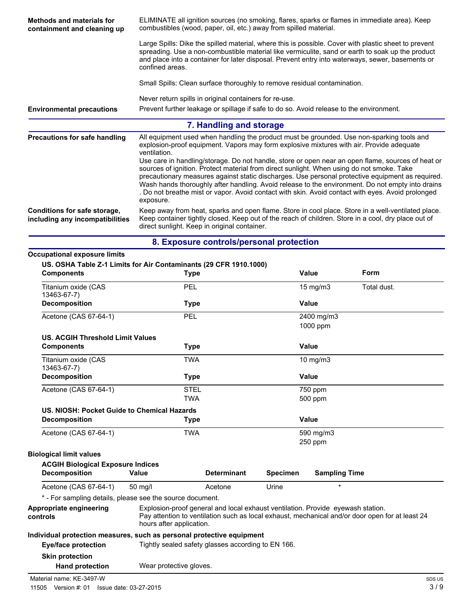| Methods and materials for<br>containment and cleaning up        | ELIMINATE all ignition sources (no smoking, flares, sparks or flames in immediate area). Keep<br>combustibles (wood, paper, oil, etc.) away from spilled material.                                                                                                                                                                                                                                                                                                                                                       |  |  |
|-----------------------------------------------------------------|--------------------------------------------------------------------------------------------------------------------------------------------------------------------------------------------------------------------------------------------------------------------------------------------------------------------------------------------------------------------------------------------------------------------------------------------------------------------------------------------------------------------------|--|--|
|                                                                 | Large Spills: Dike the spilled material, where this is possible. Cover with plastic sheet to prevent<br>spreading. Use a non-combustible material like vermiculite, sand or earth to soak up the product<br>and place into a container for later disposal. Prevent entry into waterways, sewer, basements or<br>confined areas.                                                                                                                                                                                          |  |  |
|                                                                 | Small Spills: Clean surface thoroughly to remove residual contamination.                                                                                                                                                                                                                                                                                                                                                                                                                                                 |  |  |
|                                                                 | Never return spills in original containers for re-use.                                                                                                                                                                                                                                                                                                                                                                                                                                                                   |  |  |
| <b>Environmental precautions</b>                                | Prevent further leakage or spillage if safe to do so. Avoid release to the environment.                                                                                                                                                                                                                                                                                                                                                                                                                                  |  |  |
|                                                                 | 7. Handling and storage                                                                                                                                                                                                                                                                                                                                                                                                                                                                                                  |  |  |
| Precautions for safe handling                                   | All equipment used when handling the product must be grounded. Use non-sparking tools and<br>explosion-proof equipment. Vapors may form explosive mixtures with air. Provide adequate<br>ventilation.                                                                                                                                                                                                                                                                                                                    |  |  |
|                                                                 | Use care in handling/storage. Do not handle, store or open near an open flame, sources of heat or<br>sources of ignition. Protect material from direct sunlight. When using do not smoke. Take<br>precautionary measures against static discharges. Use personal protective equipment as required.<br>Wash hands thoroughly after handling. Avoid release to the environment. Do not empty into drains<br>. Do not breathe mist or vapor. Avoid contact with skin. Avoid contact with eyes. Avoid prolonged<br>exposure. |  |  |
| Conditions for safe storage,<br>including any incompatibilities | Keep away from heat, sparks and open flame. Store in cool place. Store in a well-ventilated place.<br>Keep container tightly closed. Keep out of the reach of children. Store in a cool, dry place out of<br>direct sunlight. Keep in original container.                                                                                                                                                                                                                                                                |  |  |

|  |  |  |  |  | 8. Exposure controls/personal protection |
|--|--|--|--|--|------------------------------------------|
|--|--|--|--|--|------------------------------------------|

| US. OSHA Table Z-1 Limits for Air Contaminants (29 CFR 1910.1000)<br><b>Components</b> |                          | <b>Type</b>                                                                     |                 | Value                  | Form                                                                                            |
|----------------------------------------------------------------------------------------|--------------------------|---------------------------------------------------------------------------------|-----------------|------------------------|-------------------------------------------------------------------------------------------------|
| Titanium oxide (CAS<br>13463-67-7)                                                     |                          | <b>PEL</b>                                                                      |                 | 15 mg/m3               | Total dust.                                                                                     |
| <b>Decomposition</b>                                                                   |                          | <b>Type</b>                                                                     |                 | Value                  |                                                                                                 |
| Acetone (CAS 67-64-1)                                                                  |                          | PEL                                                                             |                 | 2400 mg/m3<br>1000 ppm |                                                                                                 |
| <b>US. ACGIH Threshold Limit Values</b>                                                |                          |                                                                                 |                 |                        |                                                                                                 |
| <b>Components</b>                                                                      |                          | <b>Type</b>                                                                     |                 | Value                  |                                                                                                 |
| Titanium oxide (CAS<br>13463-67-7)                                                     |                          | <b>TWA</b>                                                                      |                 | 10 mg/m3               |                                                                                                 |
| <b>Decomposition</b>                                                                   |                          | Type                                                                            |                 | <b>Value</b>           |                                                                                                 |
| Acetone (CAS 67-64-1)                                                                  |                          | <b>STEL</b>                                                                     |                 | 750 ppm                |                                                                                                 |
|                                                                                        |                          | <b>TWA</b>                                                                      |                 | 500 ppm                |                                                                                                 |
| US. NIOSH: Pocket Guide to Chemical Hazards                                            |                          |                                                                                 |                 |                        |                                                                                                 |
| <b>Decomposition</b>                                                                   |                          | <b>Type</b>                                                                     |                 | Value                  |                                                                                                 |
| Acetone (CAS 67-64-1)                                                                  |                          | <b>TWA</b>                                                                      |                 | 590 mg/m3              |                                                                                                 |
|                                                                                        |                          |                                                                                 |                 | 250 ppm                |                                                                                                 |
| <b>Biological limit values</b>                                                         |                          |                                                                                 |                 |                        |                                                                                                 |
| <b>ACGIH Biological Exposure Indices</b>                                               |                          |                                                                                 |                 |                        |                                                                                                 |
| <b>Decomposition</b>                                                                   | Value                    | <b>Determinant</b>                                                              | <b>Specimen</b> | <b>Sampling Time</b>   |                                                                                                 |
| Acetone (CAS 67-64-1)                                                                  | 50 mg/l                  | Acetone                                                                         | Urine           | $\star$                |                                                                                                 |
| * - For sampling details, please see the source document.                              |                          |                                                                                 |                 |                        |                                                                                                 |
| Appropriate engineering<br>controls                                                    | hours after application. | Explosion-proof general and local exhaust ventilation. Provide eyewash station. |                 |                        | Pay attention to ventilation such as local exhaust, mechanical and/or door open for at least 24 |
| Individual protection measures, such as personal protective equipment                  |                          |                                                                                 |                 |                        |                                                                                                 |
| <b>Eye/face protection</b>                                                             |                          | Tightly sealed safety glasses according to EN 166.                              |                 |                        |                                                                                                 |
| <b>Skin protection</b>                                                                 |                          |                                                                                 |                 |                        |                                                                                                 |
| <b>Hand protection</b>                                                                 | Wear protective gloves.  |                                                                                 |                 |                        |                                                                                                 |

Material name: KE-3497-W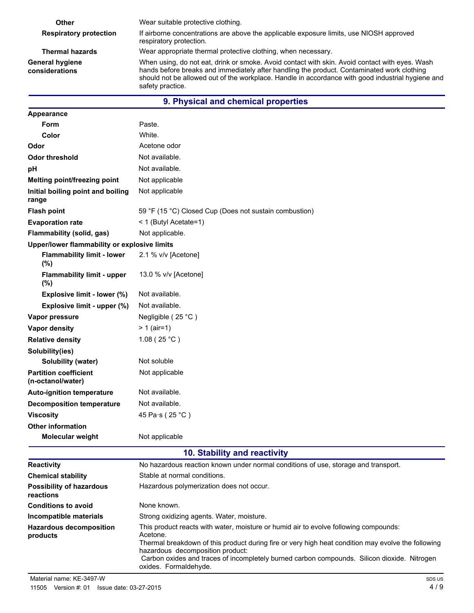| Other                                                                                                                                                                                                                                                                                                                                                             | Wear suitable protective clothing.                                                                                 |
|-------------------------------------------------------------------------------------------------------------------------------------------------------------------------------------------------------------------------------------------------------------------------------------------------------------------------------------------------------------------|--------------------------------------------------------------------------------------------------------------------|
| <b>Respiratory protection</b>                                                                                                                                                                                                                                                                                                                                     | If airborne concentrations are above the applicable exposure limits, use NIOSH approved<br>respiratory protection. |
| <b>Thermal hazards</b>                                                                                                                                                                                                                                                                                                                                            | Wear appropriate thermal protective clothing, when necessary.                                                      |
| When using, do not eat, drink or smoke. Avoid contact with skin. Avoid contact with eyes. Wash<br><b>General hygiene</b><br>hands before breaks and immediately after handling the product. Contaminated work clothing<br>considerations<br>should not be allowed out of the workplace. Handle in accordance with good industrial hygiene and<br>safety practice. |                                                                                                                    |
|                                                                                                                                                                                                                                                                                                                                                                   | 9. Physical and chemical properties                                                                                |
| Appearance                                                                                                                                                                                                                                                                                                                                                        |                                                                                                                    |
| <b>Form</b>                                                                                                                                                                                                                                                                                                                                                       | Paste.                                                                                                             |

| Form                                              | Paste.                                                 |
|---------------------------------------------------|--------------------------------------------------------|
| Color                                             | White.                                                 |
| Odor                                              | Acetone odor                                           |
| <b>Odor threshold</b>                             | Not available.                                         |
| рH                                                | Not available.                                         |
| Melting point/freezing point                      | Not applicable                                         |
| Initial boiling point and boiling<br>range        | Not applicable                                         |
| <b>Flash point</b>                                | 59 °F (15 °C) Closed Cup (Does not sustain combustion) |
| <b>Evaporation rate</b>                           | < 1 (Butyl Acetate=1)                                  |
| Flammability (solid, gas)                         | Not applicable.                                        |
| Upper/lower flammability or explosive limits      |                                                        |
| <b>Flammability limit - lower</b><br>(%)          | 2.1 % v/v [Acetone]                                    |
| <b>Flammability limit - upper</b><br>(%)          | 13.0 % v/v [Acetone]                                   |
| Explosive limit - lower (%)                       | Not available.                                         |
| Explosive limit - upper (%)                       | Not available.                                         |
| Vapor pressure                                    | Negligible (25 °C)                                     |
| <b>Vapor density</b>                              | $> 1$ (air=1)                                          |
| <b>Relative density</b>                           | 1.08(25 °C)                                            |
| Solubility(ies)                                   |                                                        |
| Solubility (water)                                | Not soluble                                            |
| <b>Partition coefficient</b><br>(n-octanol/water) | Not applicable                                         |
| <b>Auto-ignition temperature</b>                  | Not available.                                         |
| <b>Decomposition temperature</b>                  | Not available.                                         |
| <b>Viscosity</b>                                  | 45 Pa·s (25 °C)                                        |
| <b>Other information</b>                          |                                                        |
| <b>Molecular weight</b>                           | Not applicable                                         |

# **10. Stability and reactivity**

| <b>Reactivity</b>                            | No hazardous reaction known under normal conditions of use, storage and transport.                                                                                                                                                                                                                                                                                 |  |
|----------------------------------------------|--------------------------------------------------------------------------------------------------------------------------------------------------------------------------------------------------------------------------------------------------------------------------------------------------------------------------------------------------------------------|--|
| <b>Chemical stability</b>                    | Stable at normal conditions.                                                                                                                                                                                                                                                                                                                                       |  |
| <b>Possibility of hazardous</b><br>reactions | Hazardous polymerization does not occur.                                                                                                                                                                                                                                                                                                                           |  |
| <b>Conditions to avoid</b>                   | None known.                                                                                                                                                                                                                                                                                                                                                        |  |
| Incompatible materials                       | Strong oxidizing agents. Water, moisture.                                                                                                                                                                                                                                                                                                                          |  |
| <b>Hazardous decomposition</b><br>products   | This product reacts with water, moisture or humid air to evolve following compounds:<br>Acetone.<br>Thermal breakdown of this product during fire or very high heat condition may evolve the following<br>hazardous decomposition product:<br>Carbon oxides and traces of incompletely burned carbon compounds. Silicon dioxide. Nitrogen<br>oxides. Formaldehyde. |  |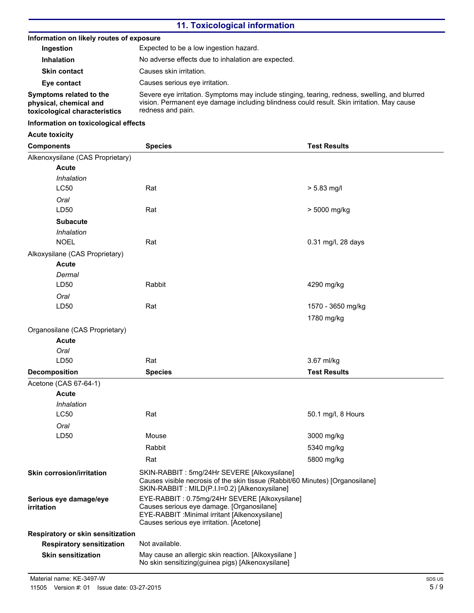### **11. Toxicological information**

#### **Information on likely routes of exposure**

| Ingestion                                                                          | Expected to be a low ingestion hazard.                                                                                                                                                                          |
|------------------------------------------------------------------------------------|-----------------------------------------------------------------------------------------------------------------------------------------------------------------------------------------------------------------|
| <b>Inhalation</b>                                                                  | No adverse effects due to inhalation are expected.                                                                                                                                                              |
| <b>Skin contact</b>                                                                | Causes skin irritation.                                                                                                                                                                                         |
| Eye contact                                                                        | Causes serious eve irritation.                                                                                                                                                                                  |
| Symptoms related to the<br>physical, chemical and<br>toxicological characteristics | Severe eye irritation. Symptoms may include stinging, tearing, redness, swelling, and blurred<br>vision. Permanent eye damage including blindness could result. Skin irritation. May cause<br>redness and pain. |

#### **Information on toxicological effects**

**Acute toxicity**

| <b>Components</b>                                                                                                                      | <b>Species</b>                                                                                                                                                                           | <b>Test Results</b> |
|----------------------------------------------------------------------------------------------------------------------------------------|------------------------------------------------------------------------------------------------------------------------------------------------------------------------------------------|---------------------|
| Alkenoxysilane (CAS Proprietary)                                                                                                       |                                                                                                                                                                                          |                     |
| <b>Acute</b>                                                                                                                           |                                                                                                                                                                                          |                     |
| Inhalation                                                                                                                             |                                                                                                                                                                                          |                     |
| <b>LC50</b>                                                                                                                            | Rat                                                                                                                                                                                      | $> 5.83$ mg/l       |
| Oral                                                                                                                                   |                                                                                                                                                                                          |                     |
| LD50                                                                                                                                   | Rat                                                                                                                                                                                      | > 5000 mg/kg        |
| <b>Subacute</b>                                                                                                                        |                                                                                                                                                                                          |                     |
| Inhalation                                                                                                                             |                                                                                                                                                                                          |                     |
| <b>NOEL</b>                                                                                                                            | Rat                                                                                                                                                                                      | 0.31 mg/l, 28 days  |
| Alkoxysilane (CAS Proprietary)                                                                                                         |                                                                                                                                                                                          |                     |
| <b>Acute</b>                                                                                                                           |                                                                                                                                                                                          |                     |
| Dermal                                                                                                                                 |                                                                                                                                                                                          |                     |
| LD50                                                                                                                                   | Rabbit                                                                                                                                                                                   | 4290 mg/kg          |
| Oral                                                                                                                                   |                                                                                                                                                                                          |                     |
| LD50                                                                                                                                   | Rat                                                                                                                                                                                      | 1570 - 3650 mg/kg   |
|                                                                                                                                        |                                                                                                                                                                                          | 1780 mg/kg          |
| Organosilane (CAS Proprietary)                                                                                                         |                                                                                                                                                                                          |                     |
| <b>Acute</b>                                                                                                                           |                                                                                                                                                                                          |                     |
| Oral                                                                                                                                   |                                                                                                                                                                                          |                     |
| LD50                                                                                                                                   | Rat                                                                                                                                                                                      | 3.67 ml/kg          |
| <b>Decomposition</b>                                                                                                                   | <b>Species</b>                                                                                                                                                                           | <b>Test Results</b> |
| Acetone (CAS 67-64-1)                                                                                                                  |                                                                                                                                                                                          |                     |
| <b>Acute</b>                                                                                                                           |                                                                                                                                                                                          |                     |
| Inhalation                                                                                                                             |                                                                                                                                                                                          |                     |
| <b>LC50</b>                                                                                                                            | Rat                                                                                                                                                                                      | 50.1 mg/l, 8 Hours  |
| Oral                                                                                                                                   |                                                                                                                                                                                          |                     |
| LD50                                                                                                                                   | Mouse                                                                                                                                                                                    | 3000 mg/kg          |
|                                                                                                                                        | Rabbit                                                                                                                                                                                   | 5340 mg/kg          |
|                                                                                                                                        | 5800 mg/kg<br>Rat                                                                                                                                                                        |                     |
| <b>Skin corrosion/irritation</b>                                                                                                       | SKIN-RABBIT: 5mg/24Hr SEVERE [Alkoxysilane]<br>Causes visible necrosis of the skin tissue (Rabbit/60 Minutes) [Organosilane]<br>SKIN-RABBIT : MILD(P.I.I=0.2) [Alkenoxysilane]           |                     |
| Serious eye damage/eye<br><i>irritation</i>                                                                                            | EYE-RABBIT: 0.75mg/24Hr SEVERE [Alkoxysilane]<br>Causes serious eye damage. [Organosilane]<br>EYE-RABBIT : Minimal irritant [Alkenoxysilane]<br>Causes serious eye irritation. [Acetone] |                     |
| Respiratory or skin sensitization                                                                                                      |                                                                                                                                                                                          |                     |
| <b>Respiratory sensitization</b>                                                                                                       | Not available.                                                                                                                                                                           |                     |
| May cause an allergic skin reaction. [Alkoxysilane ]<br><b>Skin sensitization</b><br>No skin sensitizing(guinea pigs) [Alkenoxysilane] |                                                                                                                                                                                          |                     |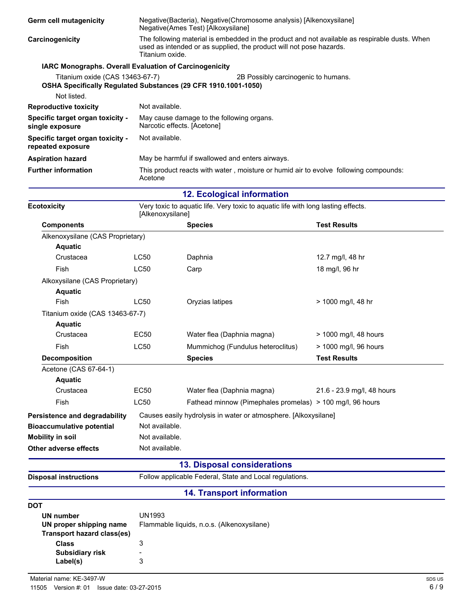| <b>Germ cell mutagenicity</b>                                                                                    | Negative(Bacteria), Negative(Chromosome analysis) [Alkenoxysilane]<br>Negative(Ames Test) [Alkoxysilane]                                                                                |                                                                          |                                                                                      |  |  |
|------------------------------------------------------------------------------------------------------------------|-----------------------------------------------------------------------------------------------------------------------------------------------------------------------------------------|--------------------------------------------------------------------------|--------------------------------------------------------------------------------------|--|--|
| Carcinogenicity                                                                                                  | The following material is embedded in the product and not available as respirable dusts. When<br>used as intended or as supplied, the product will not pose hazards.<br>Titanium oxide. |                                                                          |                                                                                      |  |  |
| <b>IARC Monographs. Overall Evaluation of Carcinogenicity</b>                                                    |                                                                                                                                                                                         |                                                                          |                                                                                      |  |  |
| Titanium oxide (CAS 13463-67-7)<br>OSHA Specifically Regulated Substances (29 CFR 1910.1001-1050)<br>Not listed. |                                                                                                                                                                                         |                                                                          | 2B Possibly carcinogenic to humans.                                                  |  |  |
| <b>Reproductive toxicity</b>                                                                                     | Not available.                                                                                                                                                                          |                                                                          |                                                                                      |  |  |
| Specific target organ toxicity -<br>single exposure                                                              |                                                                                                                                                                                         | May cause damage to the following organs.<br>Narcotic effects. [Acetone] |                                                                                      |  |  |
| Specific target organ toxicity -<br>repeated exposure                                                            | Not available.                                                                                                                                                                          |                                                                          |                                                                                      |  |  |
| <b>Aspiration hazard</b>                                                                                         |                                                                                                                                                                                         | May be harmful if swallowed and enters airways.                          |                                                                                      |  |  |
| <b>Further information</b>                                                                                       | Acetone                                                                                                                                                                                 |                                                                          | This product reacts with water, moisture or humid air to evolve following compounds: |  |  |
|                                                                                                                  |                                                                                                                                                                                         | <b>12. Ecological information</b>                                        |                                                                                      |  |  |
| <b>Ecotoxicity</b>                                                                                               | [Alkenoxysilane]                                                                                                                                                                        |                                                                          | Very toxic to aquatic life. Very toxic to aquatic life with long lasting effects.    |  |  |
| <b>Components</b>                                                                                                |                                                                                                                                                                                         | <b>Species</b>                                                           | <b>Test Results</b>                                                                  |  |  |
| Alkenoxysilane (CAS Proprietary)                                                                                 |                                                                                                                                                                                         |                                                                          |                                                                                      |  |  |
| <b>Aquatic</b>                                                                                                   |                                                                                                                                                                                         |                                                                          |                                                                                      |  |  |
| Crustacea                                                                                                        | <b>LC50</b>                                                                                                                                                                             | Daphnia                                                                  | 12.7 mg/l, 48 hr                                                                     |  |  |
| Fish                                                                                                             | <b>LC50</b>                                                                                                                                                                             | Carp                                                                     | 18 mg/l, 96 hr                                                                       |  |  |
| Alkoxysilane (CAS Proprietary)                                                                                   |                                                                                                                                                                                         |                                                                          |                                                                                      |  |  |

| <b>Aquatic</b>                   |                |                                                                 |                            |
|----------------------------------|----------------|-----------------------------------------------------------------|----------------------------|
| Fish                             | LC50           | Oryzias latipes                                                 | > 1000 mg/l, 48 hr         |
| Titanium oxide (CAS 13463-67-7)  |                |                                                                 |                            |
| <b>Aquatic</b>                   |                |                                                                 |                            |
| Crustacea                        | EC50           | Water flea (Daphnia magna)                                      | > 1000 mg/l, 48 hours      |
| Fish                             | <b>LC50</b>    | Mummichog (Fundulus heteroclitus)                               | > 1000 mg/l, 96 hours      |
| <b>Decomposition</b>             |                | <b>Species</b>                                                  | <b>Test Results</b>        |
| Acetone (CAS 67-64-1)            |                |                                                                 |                            |
| <b>Aquatic</b>                   |                |                                                                 |                            |
| Crustacea                        | EC50           | Water flea (Daphnia magna)                                      | 21.6 - 23.9 mg/l, 48 hours |
| Fish                             | <b>LC50</b>    | Fathead minnow (Pimephales promelas) > 100 mg/l, 96 hours       |                            |
| Persistence and degradability    |                | Causes easily hydrolysis in water or atmosphere. [Alkoxysilane] |                            |
| <b>Bioaccumulative potential</b> | Not available. |                                                                 |                            |
| <b>Mobility in soil</b>          | Not available. |                                                                 |                            |
| Other adverse effects            | Not available. |                                                                 |                            |

## **13. Disposal considerations**

**Disposal instructions** Follow applicable Federal, State and Local regulations.

# **14. Transport information**

| DOT                        |                                            |
|----------------------------|--------------------------------------------|
| UN number                  | UN1993                                     |
| UN proper shipping name    | Flammable liquids, n.o.s. (Alkenoxysilane) |
| Transport hazard class(es) |                                            |
| Class                      |                                            |
| <b>Subsidiary risk</b>     |                                            |
| Label(s)                   | 3                                          |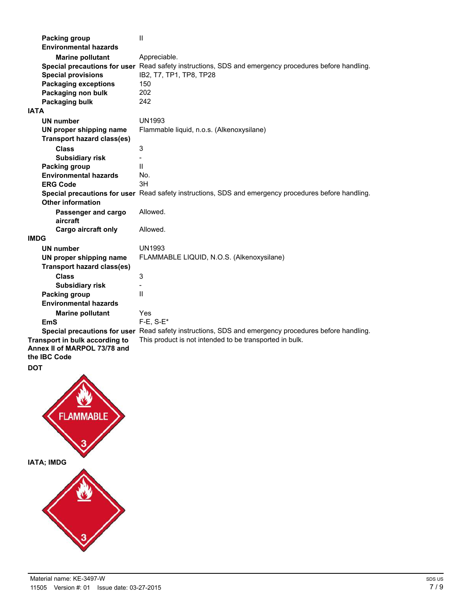| <b>Packing group</b><br><b>Environmental hazards</b> | $\mathbf{H}$                                                                                         |
|------------------------------------------------------|------------------------------------------------------------------------------------------------------|
| <b>Marine pollutant</b>                              | Appreciable.                                                                                         |
|                                                      | Special precautions for user Read safety instructions, SDS and emergency procedures before handling. |
| <b>Special provisions</b>                            | IB2, T7, TP1, TP8, TP28                                                                              |
| <b>Packaging exceptions</b>                          | 150                                                                                                  |
| Packaging non bulk                                   | 202                                                                                                  |
| Packaging bulk                                       | 242                                                                                                  |
| <b>IATA</b>                                          |                                                                                                      |
| <b>UN number</b>                                     | <b>UN1993</b>                                                                                        |
| UN proper shipping name                              | Flammable liquid, n.o.s. (Alkenoxysilane)                                                            |
| <b>Transport hazard class(es)</b>                    |                                                                                                      |
| <b>Class</b>                                         | 3                                                                                                    |
| <b>Subsidiary risk</b>                               |                                                                                                      |
| <b>Packing group</b>                                 | Ш                                                                                                    |
| <b>Environmental hazards</b>                         | No.                                                                                                  |
|                                                      | 3H                                                                                                   |
| <b>ERG Code</b>                                      |                                                                                                      |
|                                                      | Special precautions for user Read safety instructions, SDS and emergency procedures before handling. |
| <b>Other information</b>                             |                                                                                                      |
| Passenger and cargo<br>aircraft                      | Allowed.                                                                                             |
| Cargo aircraft only                                  | Allowed.                                                                                             |
| <b>IMDG</b>                                          |                                                                                                      |
| <b>UN number</b>                                     | <b>UN1993</b>                                                                                        |
| UN proper shipping name                              | FLAMMABLE LIQUID, N.O.S. (Alkenoxysilane)                                                            |
| <b>Transport hazard class(es)</b>                    |                                                                                                      |
| <b>Class</b>                                         | 3                                                                                                    |
| <b>Subsidiary risk</b>                               | ۰                                                                                                    |
| <b>Packing group</b>                                 | $\mathsf{I}$                                                                                         |
| <b>Environmental hazards</b>                         |                                                                                                      |
| <b>Marine pollutant</b>                              | Yes                                                                                                  |
| EmS                                                  | $F-E$ , $S-E^*$                                                                                      |
|                                                      | Special precautions for user Read safety instructions, SDS and emergency procedures before handling. |
| Transport in bulk according to                       | This product is not intended to be transported in bulk.                                              |
| Annex II of MARPOL 73/78 and                         |                                                                                                      |
| the IBC Code                                         |                                                                                                      |
|                                                      |                                                                                                      |
| <b>DOT</b><br>́<br><b>FLAMMABLE</b>                  |                                                                                                      |

**IATA; IMDG**

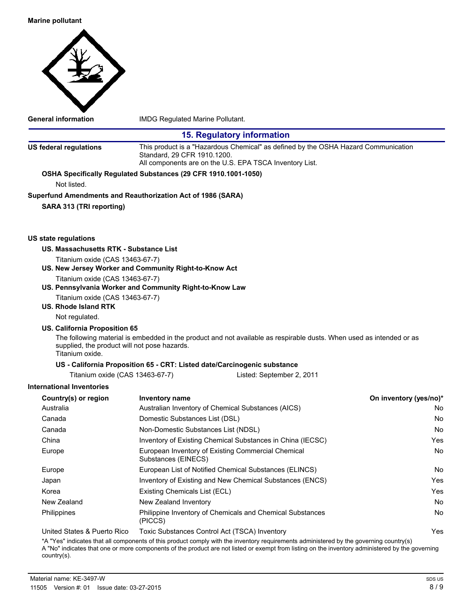

**General information** IMDG Regulated Marine Pollutant.

|                                                                                            |                                     | <b>15. Regulatory information</b>                                                                                                             |                        |
|--------------------------------------------------------------------------------------------|-------------------------------------|-----------------------------------------------------------------------------------------------------------------------------------------------|------------------------|
| <b>US federal regulations</b>                                                              | Standard, 29 CFR 1910.1200.         | This product is a "Hazardous Chemical" as defined by the OSHA Hazard Communication<br>All components are on the U.S. EPA TSCA Inventory List. |                        |
| OSHA Specifically Regulated Substances (29 CFR 1910.1001-1050)                             |                                     |                                                                                                                                               |                        |
| Not listed.                                                                                |                                     |                                                                                                                                               |                        |
| Superfund Amendments and Reauthorization Act of 1986 (SARA)                                |                                     |                                                                                                                                               |                        |
| SARA 313 (TRI reporting)                                                                   |                                     |                                                                                                                                               |                        |
|                                                                                            |                                     |                                                                                                                                               |                        |
| US state regulations                                                                       |                                     |                                                                                                                                               |                        |
| US. Massachusetts RTK - Substance List                                                     |                                     |                                                                                                                                               |                        |
| Titanium oxide (CAS 13463-67-7)                                                            |                                     |                                                                                                                                               |                        |
| US. New Jersey Worker and Community Right-to-Know Act                                      |                                     |                                                                                                                                               |                        |
| Titanium oxide (CAS 13463-67-7)<br>US. Pennsylvania Worker and Community Right-to-Know Law |                                     |                                                                                                                                               |                        |
| Titanium oxide (CAS 13463-67-7)                                                            |                                     |                                                                                                                                               |                        |
| US. Rhode Island RTK                                                                       |                                     |                                                                                                                                               |                        |
| Not regulated.                                                                             |                                     |                                                                                                                                               |                        |
| US. California Proposition 65                                                              |                                     |                                                                                                                                               |                        |
| supplied, the product will not pose hazards.<br>Titanium oxide.                            |                                     | The following material is embedded in the product and not available as respirable dusts. When used as intended or as                          |                        |
|                                                                                            |                                     | US - California Proposition 65 - CRT: Listed date/Carcinogenic substance                                                                      |                        |
| Titanium oxide (CAS 13463-67-7)                                                            |                                     | Listed: September 2, 2011                                                                                                                     |                        |
| <b>International Inventories</b>                                                           |                                     |                                                                                                                                               |                        |
| Country(s) or region                                                                       | <b>Inventory name</b>               |                                                                                                                                               | On inventory (yes/no)* |
| Australia                                                                                  |                                     | Australian Inventory of Chemical Substances (AICS)                                                                                            | No.                    |
| Canada                                                                                     | Domestic Substances List (DSL)      |                                                                                                                                               | No.                    |
| Canada                                                                                     | Non-Domestic Substances List (NDSL) |                                                                                                                                               | No                     |
| China                                                                                      |                                     | Inventory of Existing Chemical Substances in China (IECSC)                                                                                    | Yes                    |
| Europe                                                                                     | Substances (EINECS)                 | European Inventory of Existing Commercial Chemical                                                                                            | No                     |
| Europe                                                                                     |                                     | European List of Notified Chemical Substances (ELINCS)                                                                                        | No                     |
| Japan                                                                                      |                                     | Inventory of Existing and New Chemical Substances (ENCS)                                                                                      | Yes                    |
| Korea                                                                                      | Existing Chemicals List (ECL)       |                                                                                                                                               | Yes                    |
| New Zealand                                                                                | New Zealand Inventory               |                                                                                                                                               | No                     |
| Philippines                                                                                | (PICCS)                             | Philippine Inventory of Chemicals and Chemical Substances                                                                                     | No                     |
| United States & Puerto Rico                                                                |                                     | Toxic Substances Control Act (TSCA) Inventory                                                                                                 | Yes                    |

\*A "Yes" indicates that all components of this product comply with the inventory requirements administered by the governing country(s) A "No" indicates that one or more components of the product are not listed or exempt from listing on the inventory administered by the governing country(s).